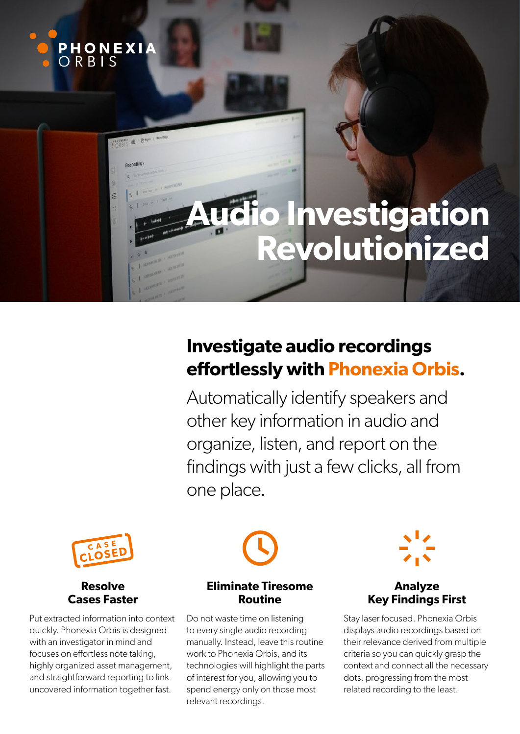

# **Investigate audio recordings effortlessly with Phonexia Orbis.**

Automatically identify speakers and other key information in audio and organize, listen, and report on the findings with just a few clicks, all from one place.



### **Resolve Cases Faster**

Put extracted information into context quickly. Phonexia Orbis is designed with an investigator in mind and focuses on effortless note taking, highly organized asset management, and straightforward reporting to link uncovered information together fast.



# **Eliminate Tiresome Routine**

Do not waste time on listening to every single audio recording manually. Instead, leave this routine work to Phonexia Orbis, and its technologies will highlight the parts of interest for you, allowing you to spend energy only on those most relevant recordings.



# **Analyze Key Findings First**

Stay laser focused. Phonexia Orbis displays audio recordings based on their relevance derived from multiple criteria so you can quickly grasp the context and connect all the necessary dots, progressing from the mostrelated recording to the least.